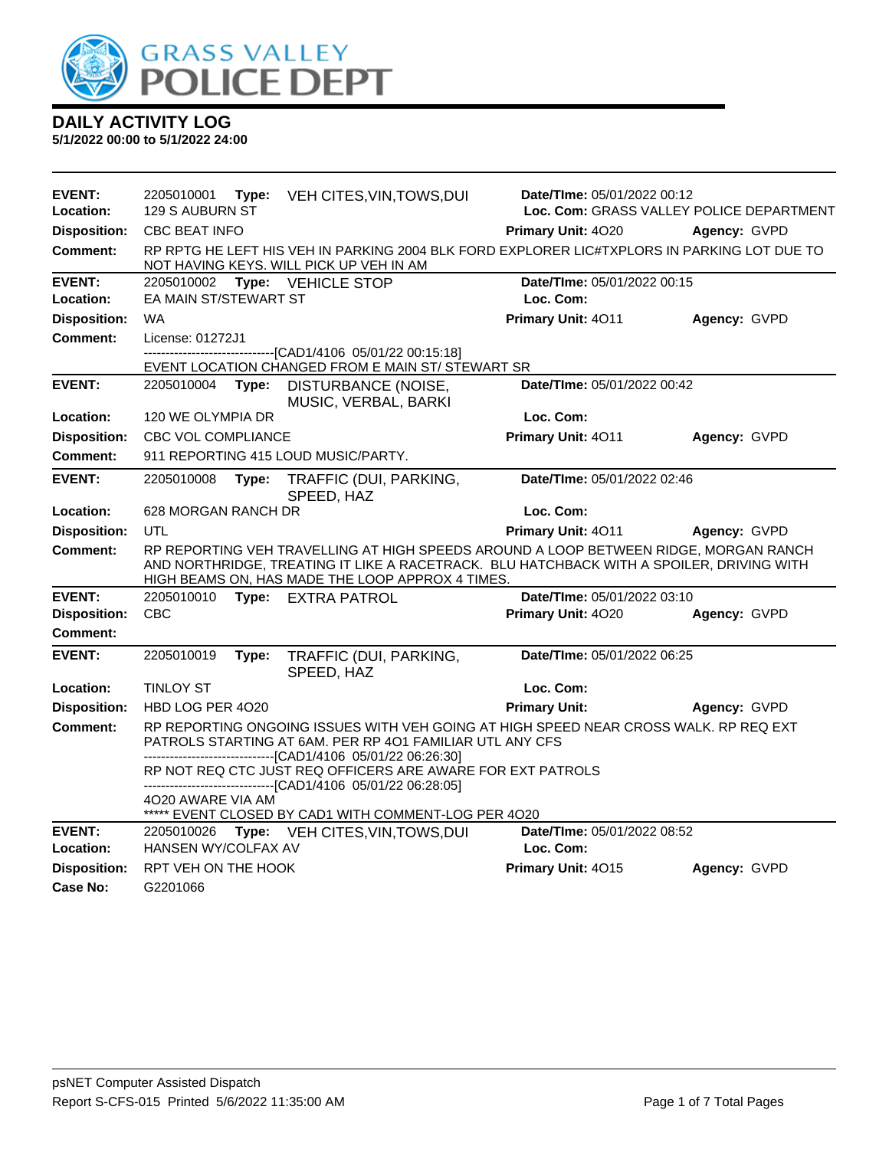

| <b>EVENT:</b><br>Location: | 2205010001<br>129 S AUBURN ST                                                                                                                                                                                                        |       | Type: VEH CITES, VIN, TOWS, DUI                                                                                            | <b>Date/Time: 05/01/2022 00:12</b>       | Loc. Com: GRASS VALLEY POLICE DEPARTMENT |  |
|----------------------------|--------------------------------------------------------------------------------------------------------------------------------------------------------------------------------------------------------------------------------------|-------|----------------------------------------------------------------------------------------------------------------------------|------------------------------------------|------------------------------------------|--|
| <b>Disposition:</b>        | <b>CBC BEAT INFO</b>                                                                                                                                                                                                                 |       |                                                                                                                            | <b>Primary Unit: 4020</b>                | Agency: GVPD                             |  |
| Comment:                   | RP RPTG HE LEFT HIS VEH IN PARKING 2004 BLK FORD EXPLORER LIC#TXPLORS IN PARKING LOT DUE TO<br>NOT HAVING KEYS. WILL PICK UP VEH IN AM                                                                                               |       |                                                                                                                            |                                          |                                          |  |
| <b>EVENT:</b>              |                                                                                                                                                                                                                                      |       | 2205010002 Type: VEHICLE STOP                                                                                              | Date/TIme: 05/01/2022 00:15              |                                          |  |
| Location:                  | EA MAIN ST/STEWART ST                                                                                                                                                                                                                |       |                                                                                                                            | Loc. Com:                                |                                          |  |
| <b>Disposition:</b>        | <b>WA</b>                                                                                                                                                                                                                            |       |                                                                                                                            | Primary Unit: 4011                       | Agency: GVPD                             |  |
| <b>Comment:</b>            | License: 01272J1                                                                                                                                                                                                                     |       |                                                                                                                            |                                          |                                          |  |
|                            |                                                                                                                                                                                                                                      |       | ------------------------[CAD1/4106 05/01/22 00:15:18]<br>EVENT LOCATION CHANGED FROM E MAIN ST/ STEWART SR                 |                                          |                                          |  |
| <b>EVENT:</b>              | 2205010004 Type:                                                                                                                                                                                                                     |       | DISTURBANCE (NOISE,<br>MUSIC, VERBAL, BARKI                                                                                | Date/TIme: 05/01/2022 00:42              |                                          |  |
| Location:                  | 120 WE OLYMPIA DR                                                                                                                                                                                                                    |       |                                                                                                                            | Loc. Com:                                |                                          |  |
| <b>Disposition:</b>        | <b>CBC VOL COMPLIANCE</b>                                                                                                                                                                                                            |       |                                                                                                                            | Primary Unit: 4011                       | Agency: GVPD                             |  |
| <b>Comment:</b>            |                                                                                                                                                                                                                                      |       | 911 REPORTING 415 LOUD MUSIC/PARTY.                                                                                        |                                          |                                          |  |
| <b>EVENT:</b>              | 2205010008                                                                                                                                                                                                                           | Type: | TRAFFIC (DUI, PARKING,<br>SPEED, HAZ                                                                                       | Date/TIme: 05/01/2022 02:46              |                                          |  |
| Location:                  | 628 MORGAN RANCH DR                                                                                                                                                                                                                  |       |                                                                                                                            | Loc. Com:                                |                                          |  |
| <b>Disposition:</b>        | UTL                                                                                                                                                                                                                                  |       |                                                                                                                            | Primary Unit: 4011                       | Agency: GVPD                             |  |
| <b>Comment:</b>            | RP REPORTING VEH TRAVELLING AT HIGH SPEEDS AROUND A LOOP BETWEEN RIDGE, MORGAN RANCH<br>AND NORTHRIDGE, TREATING IT LIKE A RACETRACK. BLU HATCHBACK WITH A SPOILER, DRIVING WITH<br>HIGH BEAMS ON, HAS MADE THE LOOP APPROX 4 TIMES. |       |                                                                                                                            |                                          |                                          |  |
| <b>EVENT:</b>              | 2205010010                                                                                                                                                                                                                           |       | Type: EXTRA PATROL                                                                                                         | Date/TIme: 05/01/2022 03:10              |                                          |  |
| <b>Disposition:</b>        | <b>CBC</b>                                                                                                                                                                                                                           |       |                                                                                                                            | Primary Unit: 4020                       | Agency: GVPD                             |  |
| Comment:                   |                                                                                                                                                                                                                                      |       |                                                                                                                            |                                          |                                          |  |
| <b>EVENT:</b>              | 2205010019                                                                                                                                                                                                                           | Type: | TRAFFIC (DUI, PARKING,<br>SPEED, HAZ                                                                                       | Date/TIme: 05/01/2022 06:25              |                                          |  |
| Location:                  | <b>TINLOY ST</b>                                                                                                                                                                                                                     |       |                                                                                                                            | Loc. Com:                                |                                          |  |
| <b>Disposition:</b>        | HBD LOG PER 4020                                                                                                                                                                                                                     |       |                                                                                                                            | <b>Primary Unit:</b>                     | Agency: GVPD                             |  |
| <b>Comment:</b>            | RP REPORTING ONGOING ISSUES WITH VEH GOING AT HIGH SPEED NEAR CROSS WALK. RP REQ EXT<br>PATROLS STARTING AT 6AM. PER RP 401 FAMILIAR UTL ANY CFS<br>-------------------------------[CAD1/4106 05/01/22 06:26:30]                     |       |                                                                                                                            |                                          |                                          |  |
|                            | 4O20 AWARE VIA AM                                                                                                                                                                                                                    |       | RP NOT REQ CTC JUST REQ OFFICERS ARE AWARE FOR EXT PATROLS<br>-------------------------------[CAD1/4106 05/01/22 06:28:05] |                                          |                                          |  |
|                            |                                                                                                                                                                                                                                      |       | ***** EVENT CLOSED BY CAD1 WITH COMMENT-LOG PER 4O20                                                                       |                                          |                                          |  |
| <b>EVENT:</b><br>Location: | 2205010026<br>HANSEN WY/COLFAX AV                                                                                                                                                                                                    |       | Type: VEH CITES, VIN, TOWS, DUI                                                                                            | Date/TIme: 05/01/2022 08:52<br>Loc. Com: |                                          |  |
| <b>Disposition:</b>        | RPT VEH ON THE HOOK                                                                                                                                                                                                                  |       |                                                                                                                            | Primary Unit: 4015                       | Agency: GVPD                             |  |
| Case No:                   | G2201066                                                                                                                                                                                                                             |       |                                                                                                                            |                                          |                                          |  |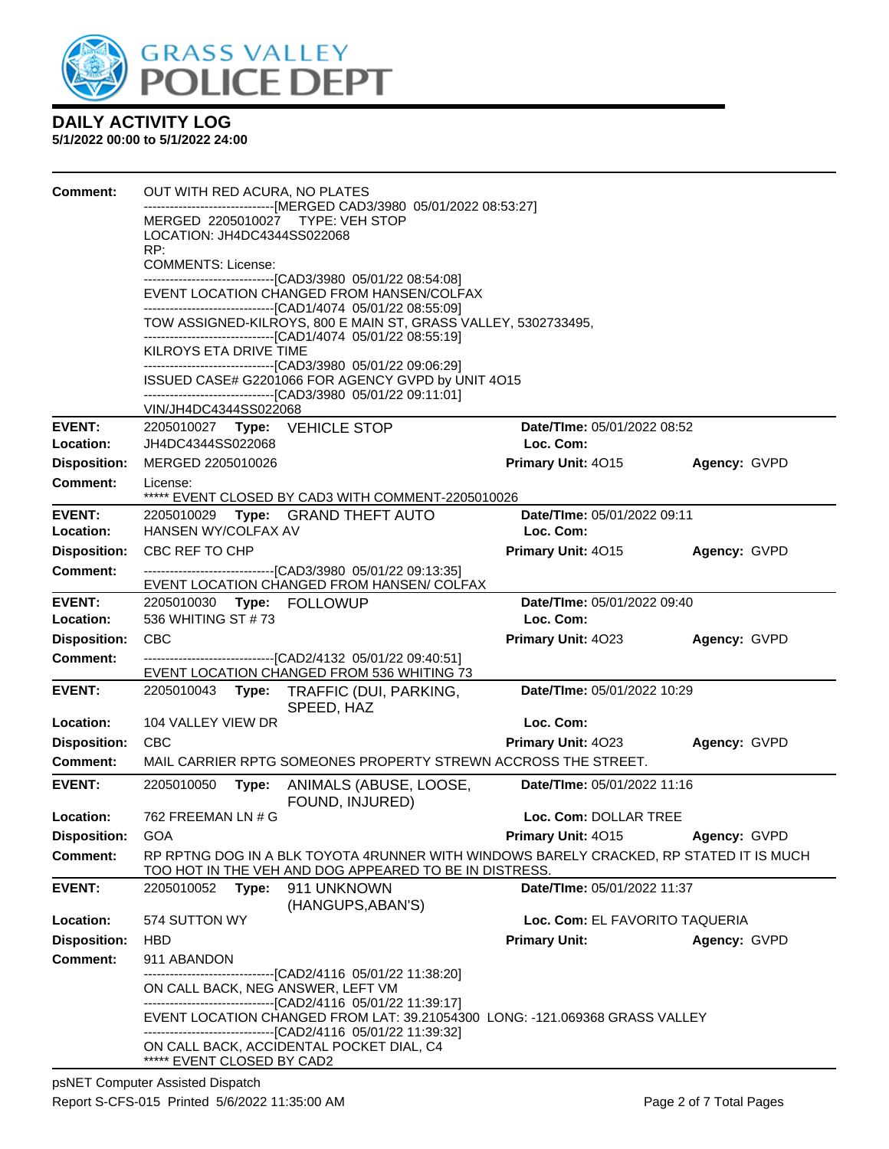

| <b>Comment:</b>                 | OUT WITH RED ACURA, NO PLATES<br>-----------------------[MERGED CAD3/3980 05/01/2022 08:53:27]<br>MERGED 2205010027 TYPE: VEH STOP<br>LOCATION: JH4DC4344SS022068<br>RP:<br><b>COMMENTS: License:</b><br>------------------------------[CAD3/3980 05/01/22 08:54:08]<br>EVENT LOCATION CHANGED FROM HANSEN/COLFAX<br>-------------------------------[CAD1/4074 05/01/22 08:55:09]<br>TOW ASSIGNED-KILROYS, 800 E MAIN ST, GRASS VALLEY, 5302733495,<br>-------------------------------[CAD1/4074 05/01/22 08:55:19]<br>KILROYS ETA DRIVE TIME<br>-------------------------------[CAD3/3980 05/01/22 09:06:29] |                                                                                                                                              |                                                                                                                                                  |                                                 |                                      |  |  |  |
|---------------------------------|---------------------------------------------------------------------------------------------------------------------------------------------------------------------------------------------------------------------------------------------------------------------------------------------------------------------------------------------------------------------------------------------------------------------------------------------------------------------------------------------------------------------------------------------------------------------------------------------------------------|----------------------------------------------------------------------------------------------------------------------------------------------|--------------------------------------------------------------------------------------------------------------------------------------------------|-------------------------------------------------|--------------------------------------|--|--|--|
|                                 |                                                                                                                                                                                                                                                                                                                                                                                                                                                                                                                                                                                                               | ISSUED CASE# G2201066 FOR AGENCY GVPD by UNIT 4O15<br>--------------------------------[CAD3/3980 05/01/22 09:11:01]<br>VIN/JH4DC4344SS022068 |                                                                                                                                                  |                                                 |                                      |  |  |  |
| <b>EVENT:</b><br>Location:      | JH4DC4344SS022068                                                                                                                                                                                                                                                                                                                                                                                                                                                                                                                                                                                             |                                                                                                                                              | 2205010027 Type: VEHICLE STOP                                                                                                                    | <b>Date/Time: 05/01/2022 08:52</b><br>Loc. Com: |                                      |  |  |  |
| <b>Disposition:</b><br>Comment: | MERGED 2205010026<br>License:                                                                                                                                                                                                                                                                                                                                                                                                                                                                                                                                                                                 |                                                                                                                                              | ***** EVENT CLOSED BY CAD3 WITH COMMENT-2205010026                                                                                               | Primary Unit: 4015                              | Agency: GVPD                         |  |  |  |
| <b>EVENT:</b><br>Location:      | HANSEN WY/COLFAX AV                                                                                                                                                                                                                                                                                                                                                                                                                                                                                                                                                                                           |                                                                                                                                              | 2205010029 Type: GRAND THEFT AUTO                                                                                                                | Date/TIme: 05/01/2022 09:11<br>Loc. Com:        |                                      |  |  |  |
| <b>Disposition:</b>             | CBC REF TO CHP                                                                                                                                                                                                                                                                                                                                                                                                                                                                                                                                                                                                |                                                                                                                                              |                                                                                                                                                  | Primary Unit: 4015                              | Agency: GVPD                         |  |  |  |
| <b>Comment:</b>                 | --------------------------------[CAD3/3980 05/01/22 09:13:35]<br>EVENT LOCATION CHANGED FROM HANSEN/ COLFAX                                                                                                                                                                                                                                                                                                                                                                                                                                                                                                   |                                                                                                                                              |                                                                                                                                                  |                                                 |                                      |  |  |  |
| <b>EVENT:</b><br>Location:      | 536 WHITING ST #73                                                                                                                                                                                                                                                                                                                                                                                                                                                                                                                                                                                            |                                                                                                                                              | 2205010030 Type: FOLLOWUP                                                                                                                        | Date/TIme: 05/01/2022 09:40<br>Loc. Com:        |                                      |  |  |  |
| <b>Disposition:</b>             | <b>CBC</b>                                                                                                                                                                                                                                                                                                                                                                                                                                                                                                                                                                                                    |                                                                                                                                              |                                                                                                                                                  | Primary Unit: 4023                              | Agency: GVPD                         |  |  |  |
| <b>Comment:</b>                 | -------------------------------[CAD2/4132 05/01/22 09:40:51]<br>EVENT LOCATION CHANGED FROM 536 WHITING 73                                                                                                                                                                                                                                                                                                                                                                                                                                                                                                    |                                                                                                                                              |                                                                                                                                                  |                                                 |                                      |  |  |  |
| <b>EVENT:</b>                   |                                                                                                                                                                                                                                                                                                                                                                                                                                                                                                                                                                                                               |                                                                                                                                              | 2205010043 Type: TRAFFIC (DUI, PARKING,<br>SPEED, HAZ                                                                                            | Date/TIme: 05/01/2022 10:29                     |                                      |  |  |  |
| Location:                       | 104 VALLEY VIEW DR                                                                                                                                                                                                                                                                                                                                                                                                                                                                                                                                                                                            |                                                                                                                                              |                                                                                                                                                  | Loc. Com:                                       |                                      |  |  |  |
| <b>Disposition:</b>             | <b>CBC</b>                                                                                                                                                                                                                                                                                                                                                                                                                                                                                                                                                                                                    |                                                                                                                                              |                                                                                                                                                  | <b>Primary Unit: 4023</b>                       | Agency: GVPD                         |  |  |  |
| Comment:                        |                                                                                                                                                                                                                                                                                                                                                                                                                                                                                                                                                                                                               |                                                                                                                                              | MAIL CARRIER RPTG SOMEONES PROPERTY STREWN ACCROSS THE STREET.                                                                                   |                                                 |                                      |  |  |  |
| <b>EVENT:</b>                   | 2205010050                                                                                                                                                                                                                                                                                                                                                                                                                                                                                                                                                                                                    | Type:                                                                                                                                        | ANIMALS (ABUSE, LOOSE,<br>FOUND, INJURED)                                                                                                        | Date/TIme: 05/01/2022 11:16                     |                                      |  |  |  |
| Location:                       | 762 FREEMAN LN # G                                                                                                                                                                                                                                                                                                                                                                                                                                                                                                                                                                                            |                                                                                                                                              |                                                                                                                                                  | Loc. Com: DOLLAR TREE                           |                                      |  |  |  |
| <b>Disposition:</b>             | GOA                                                                                                                                                                                                                                                                                                                                                                                                                                                                                                                                                                                                           |                                                                                                                                              |                                                                                                                                                  | Primary Unit: 4015                              | Agency: GVPD                         |  |  |  |
| Comment:                        |                                                                                                                                                                                                                                                                                                                                                                                                                                                                                                                                                                                                               |                                                                                                                                              | RP RPTNG DOG IN A BLK TOYOTA 4RUNNER WITH WINDOWS BARELY CRACKED, RP STATED IT IS MUCH<br>TOO HOT IN THE VEH AND DOG APPEARED TO BE IN DISTRESS. |                                                 |                                      |  |  |  |
| <b>EVENT:</b>                   | 2205010052                                                                                                                                                                                                                                                                                                                                                                                                                                                                                                                                                                                                    | Type:                                                                                                                                        | 911 UNKNOWN<br>(HANGUPS, ABAN'S)                                                                                                                 | Date/TIme: 05/01/2022 11:37                     |                                      |  |  |  |
| Location:                       | 574 SUTTON WY                                                                                                                                                                                                                                                                                                                                                                                                                                                                                                                                                                                                 |                                                                                                                                              |                                                                                                                                                  | Loc. Com: EL FAVORITO TAQUERIA                  |                                      |  |  |  |
| <b>Disposition:</b>             | <b>HBD</b>                                                                                                                                                                                                                                                                                                                                                                                                                                                                                                                                                                                                    |                                                                                                                                              |                                                                                                                                                  |                                                 | <b>Primary Unit:</b><br>Agency: GVPD |  |  |  |
| <b>Comment:</b>                 | 911 ABANDON                                                                                                                                                                                                                                                                                                                                                                                                                                                                                                                                                                                                   |                                                                                                                                              |                                                                                                                                                  |                                                 |                                      |  |  |  |
|                                 | ----------------------------------[CAD2/4116 05/01/22 11:38:20]<br>ON CALL BACK, NEG ANSWER, LEFT VM<br>-------------------------------[CAD2/4116 05/01/22 11:39:17]                                                                                                                                                                                                                                                                                                                                                                                                                                          |                                                                                                                                              |                                                                                                                                                  |                                                 |                                      |  |  |  |
|                                 | EVENT LOCATION CHANGED FROM LAT: 39.21054300 LONG: -121.069368 GRASS VALLEY<br>--------------------------[CAD2/4116 05/01/22 11:39:32]                                                                                                                                                                                                                                                                                                                                                                                                                                                                        |                                                                                                                                              |                                                                                                                                                  |                                                 |                                      |  |  |  |
|                                 | ***** EVENT CLOSED BY CAD2                                                                                                                                                                                                                                                                                                                                                                                                                                                                                                                                                                                    |                                                                                                                                              | ON CALL BACK, ACCIDENTAL POCKET DIAL, C4                                                                                                         |                                                 |                                      |  |  |  |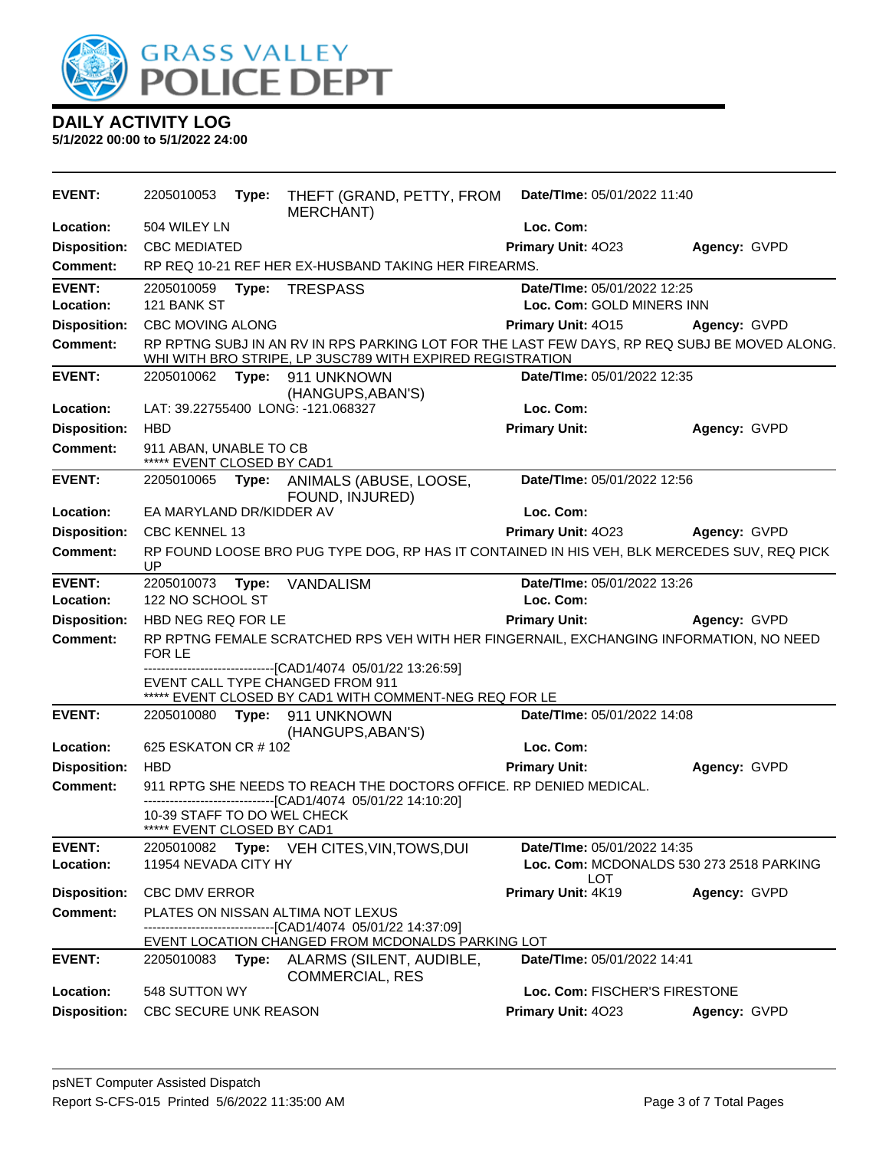

| <b>EVENT:</b>       | 2205010053                                                                                                                                                | Type: | THEFT (GRAND, PETTY, FROM<br>MERCHANT)                                                                                                               | Date/TIme: 05/01/2022 11:40                     |              |
|---------------------|-----------------------------------------------------------------------------------------------------------------------------------------------------------|-------|------------------------------------------------------------------------------------------------------------------------------------------------------|-------------------------------------------------|--------------|
| Location:           | 504 WILEY LN                                                                                                                                              |       |                                                                                                                                                      | Loc. Com:                                       |              |
| <b>Disposition:</b> | <b>CBC MEDIATED</b>                                                                                                                                       |       |                                                                                                                                                      | Primary Unit: 4023                              | Agency: GVPD |
| <b>Comment:</b>     |                                                                                                                                                           |       | RP REQ 10-21 REF HER EX-HUSBAND TAKING HER FIREARMS.                                                                                                 |                                                 |              |
| <b>EVENT:</b>       | 2205010059 Type:                                                                                                                                          |       | <b>TRESPASS</b>                                                                                                                                      | Date/TIme: 05/01/2022 12:25                     |              |
| Location:           | 121 BANK ST                                                                                                                                               |       |                                                                                                                                                      | Loc. Com: GOLD MINERS INN                       |              |
| <b>Disposition:</b> | CBC MOVING ALONG                                                                                                                                          |       |                                                                                                                                                      | Primary Unit: 4015                              | Agency: GVPD |
| <b>Comment:</b>     | RP RPTNG SUBJ IN AN RV IN RPS PARKING LOT FOR THE LAST FEW DAYS, RP REQ SUBJ BE MOVED ALONG.<br>WHI WITH BRO STRIPE, LP 3USC789 WITH EXPIRED REGISTRATION |       |                                                                                                                                                      |                                                 |              |
| <b>EVENT:</b>       |                                                                                                                                                           |       | 2205010062 Type: 911 UNKNOWN<br>(HANGUPS, ABAN'S)                                                                                                    | Date/TIme: 05/01/2022 12:35                     |              |
| Location:           |                                                                                                                                                           |       | LAT: 39.22755400 LONG: -121.068327                                                                                                                   | Loc. Com:                                       |              |
| <b>Disposition:</b> | <b>HBD</b>                                                                                                                                                |       |                                                                                                                                                      | <b>Primary Unit:</b>                            | Agency: GVPD |
| <b>Comment:</b>     | 911 ABAN, UNABLE TO CB<br>***** EVENT CLOSED BY CAD1                                                                                                      |       |                                                                                                                                                      |                                                 |              |
| <b>EVENT:</b>       |                                                                                                                                                           |       | 2205010065 Type: ANIMALS (ABUSE, LOOSE,<br>FOUND, INJURED)                                                                                           | Date/TIme: 05/01/2022 12:56                     |              |
| Location:           | EA MARYLAND DR/KIDDER AV                                                                                                                                  |       |                                                                                                                                                      | Loc. Com:                                       |              |
| <b>Disposition:</b> | <b>CBC KENNEL 13</b>                                                                                                                                      |       |                                                                                                                                                      | Primary Unit: 4023                              | Agency: GVPD |
| <b>Comment:</b>     | RP FOUND LOOSE BRO PUG TYPE DOG, RP HAS IT CONTAINED IN HIS VEH, BLK MERCEDES SUV, REQ PICK<br>UP                                                         |       |                                                                                                                                                      |                                                 |              |
| <b>EVENT:</b>       | 2205010073                                                                                                                                                | Type: | VANDALISM                                                                                                                                            | Date/TIme: 05/01/2022 13:26                     |              |
| Location:           | 122 NO SCHOOL ST                                                                                                                                          |       |                                                                                                                                                      | Loc. Com:                                       |              |
| <b>Disposition:</b> | HBD NEG REQ FOR LE                                                                                                                                        |       |                                                                                                                                                      | <b>Primary Unit:</b>                            | Agency: GVPD |
| <b>Comment:</b>     | RP RPTNG FEMALE SCRATCHED RPS VEH WITH HER FINGERNAIL, EXCHANGING INFORMATION, NO NEED<br>FOR LE                                                          |       |                                                                                                                                                      |                                                 |              |
|                     |                                                                                                                                                           |       | -------------------------[CAD1/4074_05/01/22 13:26:59]<br>EVENT CALL TYPE CHANGED FROM 911<br>***** EVENT CLOSED BY CAD1 WITH COMMENT-NEG REQ FOR LE |                                                 |              |
| <b>EVENT:</b>       |                                                                                                                                                           |       | 2205010080 Type: 911 UNKNOWN<br>(HANGUPS, ABAN'S)                                                                                                    | Date/TIme: 05/01/2022 14:08                     |              |
| Location:           | 625 ESKATON CR # 102                                                                                                                                      |       |                                                                                                                                                      | Loc. Com:                                       |              |
| <b>Disposition:</b> | <b>HBD</b>                                                                                                                                                |       |                                                                                                                                                      | <b>Primary Unit:</b>                            | Agency: GVPD |
| Comment:            | 10-39 STAFF TO DO WEL CHECK<br>***** EVENT CLOSED BY CAD1                                                                                                 |       | 911 RPTG SHE NEEDS TO REACH THE DOCTORS OFFICE. RP DENIED MEDICAL.<br>------------------------------[CAD1/4074_05/01/22 14:10:20]                    |                                                 |              |
| <b>EVENT:</b>       | 2205010082                                                                                                                                                |       | Type: VEH CITES, VIN, TOWS, DUI                                                                                                                      | Date/TIme: 05/01/2022 14:35                     |              |
| Location:           | 11954 NEVADA CITY HY                                                                                                                                      |       |                                                                                                                                                      | Loc. Com: MCDONALDS 530 273 2518 PARKING<br>LOT |              |
| <b>Disposition:</b> | <b>CBC DMV ERROR</b>                                                                                                                                      |       |                                                                                                                                                      | Primary Unit: 4K19                              | Agency: GVPD |
| <b>Comment:</b>     |                                                                                                                                                           |       | PLATES ON NISSAN ALTIMA NOT LEXUS<br>-------------------------------[CAD1/4074_05/01/22 14:37:09]                                                    |                                                 |              |
|                     |                                                                                                                                                           |       | EVENT LOCATION CHANGED FROM MCDONALDS PARKING LOT                                                                                                    | Date/TIme: 05/01/2022 14:41                     |              |
| <b>EVENT:</b>       | 2205010083                                                                                                                                                |       | Type: ALARMS (SILENT, AUDIBLE,<br><b>COMMERCIAL, RES</b>                                                                                             |                                                 |              |
| Location:           | 548 SUTTON WY                                                                                                                                             |       |                                                                                                                                                      | Loc. Com: FISCHER'S FIRESTONE                   |              |
| <b>Disposition:</b> | CBC SECURE UNK REASON                                                                                                                                     |       |                                                                                                                                                      | Primary Unit: 4023                              | Agency: GVPD |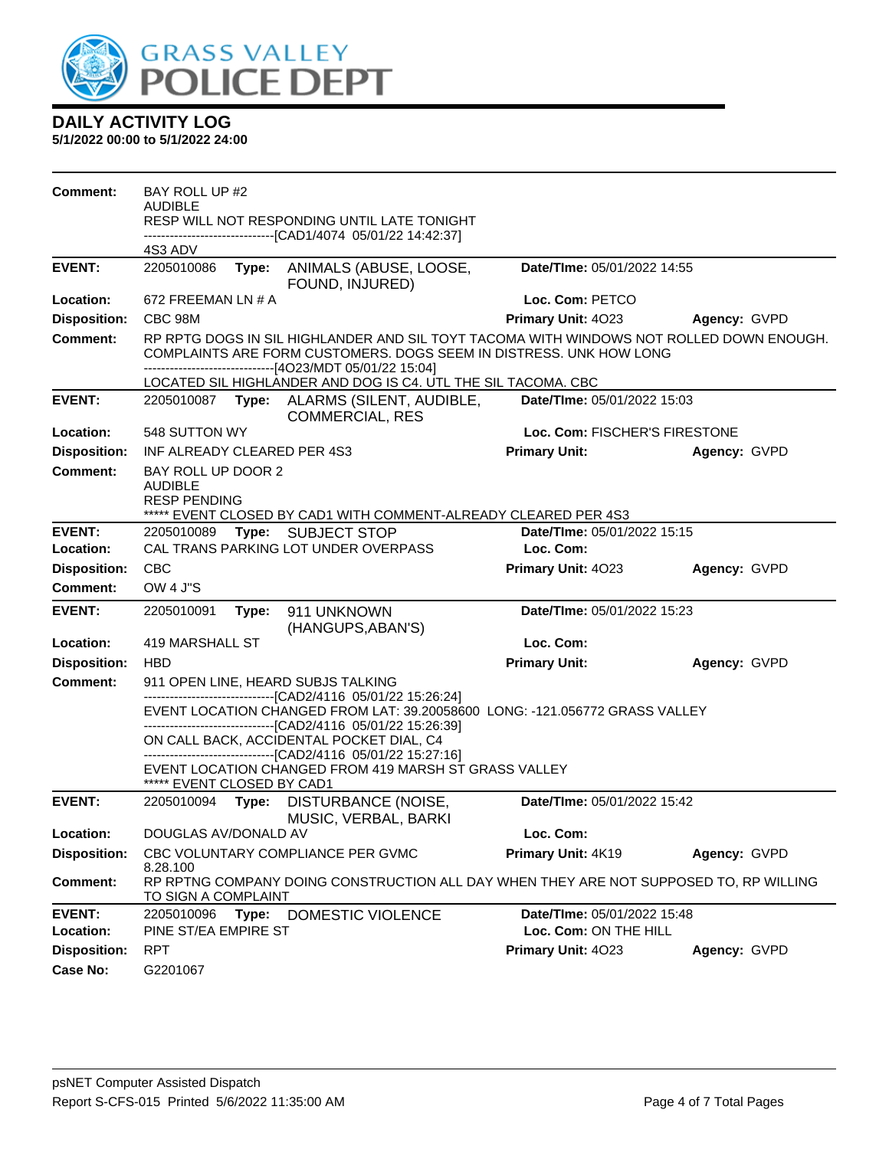

| <b>Comment:</b>            | BAY ROLL UP #2<br><b>AUDIBLE</b>                                                                                                                                                                                         |  |                                                                                                                                                                                                             |                                          |              |  |
|----------------------------|--------------------------------------------------------------------------------------------------------------------------------------------------------------------------------------------------------------------------|--|-------------------------------------------------------------------------------------------------------------------------------------------------------------------------------------------------------------|------------------------------------------|--------------|--|
|                            |                                                                                                                                                                                                                          |  | RESP WILL NOT RESPONDING UNTIL LATE TONIGHT                                                                                                                                                                 |                                          |              |  |
|                            | 4S3 ADV                                                                                                                                                                                                                  |  | ------------------------------[CAD1/4074_05/01/22 14:42:37]                                                                                                                                                 |                                          |              |  |
| <b>EVENT:</b>              | 2205010086                                                                                                                                                                                                               |  | Type: ANIMALS (ABUSE, LOOSE,<br>FOUND, INJURED)                                                                                                                                                             | Date/TIme: 05/01/2022 14:55              |              |  |
| Location:                  | 672 FREEMAN LN # A                                                                                                                                                                                                       |  |                                                                                                                                                                                                             | Loc. Com: PETCO                          |              |  |
| <b>Disposition:</b>        | CBC 98M                                                                                                                                                                                                                  |  |                                                                                                                                                                                                             | Primary Unit: 4023                       | Agency: GVPD |  |
| <b>Comment:</b>            | RP RPTG DOGS IN SIL HIGHLANDER AND SIL TOYT TACOMA WITH WINDOWS NOT ROLLED DOWN ENOUGH.<br>COMPLAINTS ARE FORM CUSTOMERS. DOGS SEEM IN DISTRESS. UNK HOW LONG<br>------------------------------[4O23/MDT 05/01/22 15:04] |  |                                                                                                                                                                                                             |                                          |              |  |
|                            |                                                                                                                                                                                                                          |  | LOCATED SIL HIGHLANDER AND DOG IS C4. UTL THE SIL TACOMA. CBC                                                                                                                                               |                                          |              |  |
| <b>EVENT:</b>              |                                                                                                                                                                                                                          |  | 2205010087 Type: ALARMS (SILENT, AUDIBLE,<br><b>COMMERCIAL, RES</b>                                                                                                                                         | Date/TIme: 05/01/2022 15:03              |              |  |
| Location:                  | 548 SUTTON WY                                                                                                                                                                                                            |  |                                                                                                                                                                                                             | Loc. Com: FISCHER'S FIRESTONE            |              |  |
| <b>Disposition:</b>        | INF ALREADY CLEARED PER 4S3                                                                                                                                                                                              |  |                                                                                                                                                                                                             | <b>Primary Unit:</b>                     | Agency: GVPD |  |
| Comment:                   | BAY ROLL UP DOOR 2<br><b>AUDIBLE</b><br><b>RESP PENDING</b>                                                                                                                                                              |  |                                                                                                                                                                                                             |                                          |              |  |
|                            |                                                                                                                                                                                                                          |  | ***** EVENT CLOSED BY CAD1 WITH COMMENT-ALREADY CLEARED PER 4S3                                                                                                                                             |                                          |              |  |
| <b>EVENT:</b><br>Location: | 2205010089                                                                                                                                                                                                               |  | Type: SUBJECT STOP<br>CAL TRANS PARKING LOT UNDER OVERPASS                                                                                                                                                  | Date/TIme: 05/01/2022 15:15<br>Loc. Com: |              |  |
| <b>Disposition:</b>        | <b>CBC</b>                                                                                                                                                                                                               |  |                                                                                                                                                                                                             | Primary Unit: 4023                       | Agency: GVPD |  |
| <b>Comment:</b>            | <b>OW 4 J"S</b>                                                                                                                                                                                                          |  |                                                                                                                                                                                                             |                                          |              |  |
| <b>EVENT:</b>              | Date/TIme: 05/01/2022 15:23<br>2205010091<br>Type: 911 UNKNOWN<br>(HANGUPS, ABAN'S)                                                                                                                                      |  |                                                                                                                                                                                                             |                                          |              |  |
| Location:                  | 419 MARSHALL ST                                                                                                                                                                                                          |  |                                                                                                                                                                                                             | Loc. Com:                                |              |  |
| <b>Disposition:</b>        | <b>HBD</b>                                                                                                                                                                                                               |  |                                                                                                                                                                                                             | <b>Primary Unit:</b>                     | Agency: GVPD |  |
| <b>Comment:</b>            |                                                                                                                                                                                                                          |  | 911 OPEN LINE, HEARD SUBJS TALKING                                                                                                                                                                          |                                          |              |  |
|                            |                                                                                                                                                                                                                          |  | -------------------------------[CAD2/4116 05/01/22 15:26:24]<br>EVENT LOCATION CHANGED FROM LAT: 39.20058600 LONG: -121.056772 GRASS VALLEY<br>-------------------------------[CAD2/4116 05/01/22 15:26:39] |                                          |              |  |
|                            |                                                                                                                                                                                                                          |  | ON CALL BACK, ACCIDENTAL POCKET DIAL, C4                                                                                                                                                                    |                                          |              |  |
|                            | ***** EVENT CLOSED BY CAD1                                                                                                                                                                                               |  | --------------------------------[CAD2/4116 05/01/22 15:27:16]<br>EVENT LOCATION CHANGED FROM 419 MARSH ST GRASS VALLEY                                                                                      |                                          |              |  |
| <b>EVENT:</b>              |                                                                                                                                                                                                                          |  | 2205010094 Type: DISTURBANCE (NOISE,<br>MUSIC, VERBAL, BARKI                                                                                                                                                | Date/TIme: 05/01/2022 15:42              |              |  |
| <b>Location:</b>           | DOUGLAS AV/DONALD AV                                                                                                                                                                                                     |  |                                                                                                                                                                                                             | Loc. Com:                                |              |  |
| <b>Disposition:</b>        |                                                                                                                                                                                                                          |  | CBC VOLUNTARY COMPLIANCE PER GVMC                                                                                                                                                                           | Primary Unit: 4K19                       | Agency: GVPD |  |
| <b>Comment:</b>            | 8.28.100<br>RP RPTNG COMPANY DOING CONSTRUCTION ALL DAY WHEN THEY ARE NOT SUPPOSED TO, RP WILLING<br><b>TO SIGN A COMPLAINT</b>                                                                                          |  |                                                                                                                                                                                                             |                                          |              |  |
| <b>EVENT:</b>              | 2205010096                                                                                                                                                                                                               |  | Type: DOMESTIC VIOLENCE                                                                                                                                                                                     | Date/TIme: 05/01/2022 15:48              |              |  |
| Location:                  | PINE ST/EA EMPIRE ST                                                                                                                                                                                                     |  |                                                                                                                                                                                                             | Loc. Com: ON THE HILL                    |              |  |
| <b>Disposition:</b>        | <b>RPT</b>                                                                                                                                                                                                               |  |                                                                                                                                                                                                             | Primary Unit: 4023                       | Agency: GVPD |  |
| <b>Case No:</b>            | G2201067                                                                                                                                                                                                                 |  |                                                                                                                                                                                                             |                                          |              |  |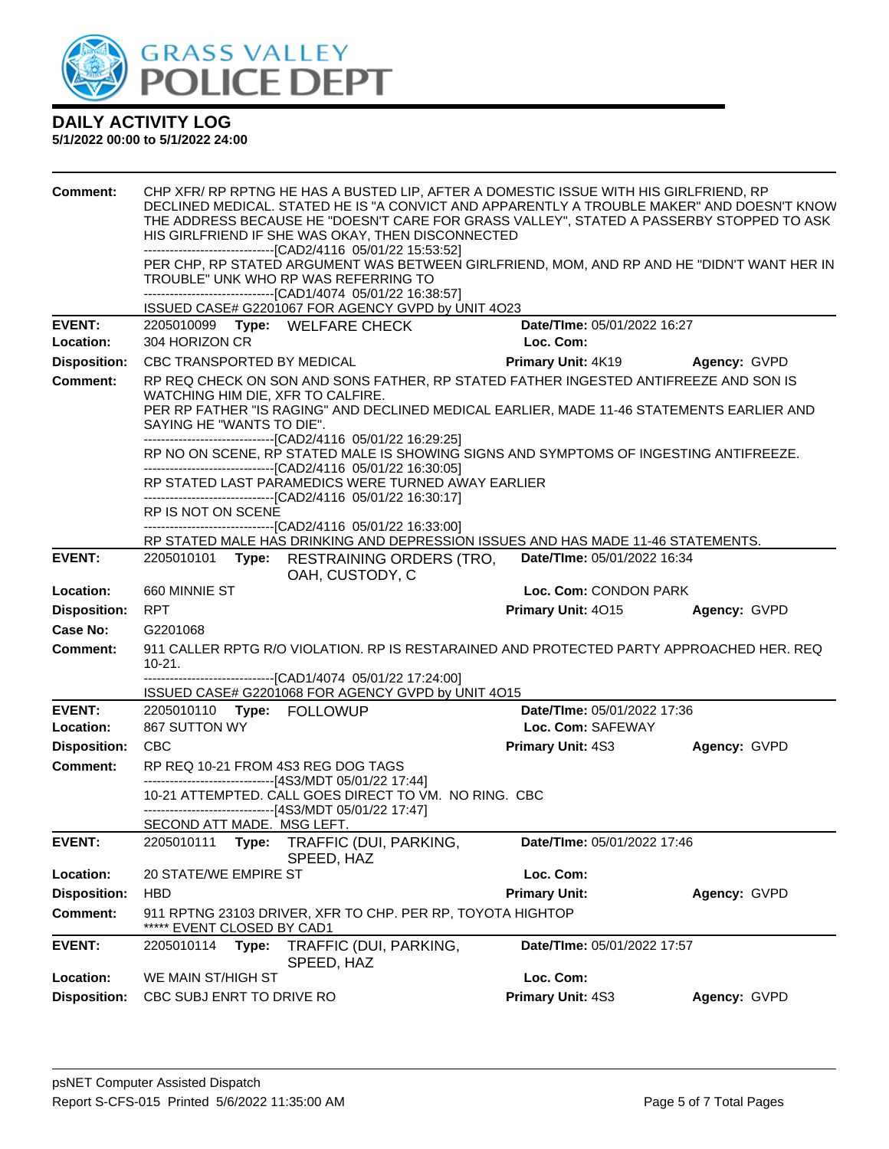

| <b>Comment:</b>     | CHP XFR/ RP RPTNG HE HAS A BUSTED LIP, AFTER A DOMESTIC ISSUE WITH HIS GIRLFRIEND, RP<br>DECLINED MEDICAL. STATED HE IS "A CONVICT AND APPARENTLY A TROUBLE MAKER" AND DOESN'T KNOW<br>THE ADDRESS BECAUSE HE "DOESN'T CARE FOR GRASS VALLEY", STATED A PASSERBY STOPPED TO ASK<br>HIS GIRLFRIEND IF SHE WAS OKAY, THEN DISCONNECTED<br>-------------------------------[CAD2/4116 05/01/22 15:53:52]<br>PER CHP, RP STATED ARGUMENT WAS BETWEEN GIRLFRIEND, MOM, AND RP AND HE "DIDN'T WANT HER IN<br>TROUBLE" UNK WHO RP WAS REFERRING TO<br>-------------------------------[CAD1/4074 05/01/22 16:38:57] |       |                                                                                                                                                                                     |                                                                                      |                                                                                          |  |  |
|---------------------|------------------------------------------------------------------------------------------------------------------------------------------------------------------------------------------------------------------------------------------------------------------------------------------------------------------------------------------------------------------------------------------------------------------------------------------------------------------------------------------------------------------------------------------------------------------------------------------------------------|-------|-------------------------------------------------------------------------------------------------------------------------------------------------------------------------------------|--------------------------------------------------------------------------------------|------------------------------------------------------------------------------------------|--|--|
| <b>EVENT:</b>       | ISSUED CASE# G2201067 FOR AGENCY GVPD by UNIT 4O23<br>Date/TIme: 05/01/2022 16:27<br>2205010099 Type: WELFARE CHECK                                                                                                                                                                                                                                                                                                                                                                                                                                                                                        |       |                                                                                                                                                                                     |                                                                                      |                                                                                          |  |  |
| Location:           | 304 HORIZON CR                                                                                                                                                                                                                                                                                                                                                                                                                                                                                                                                                                                             |       |                                                                                                                                                                                     | Loc. Com:                                                                            |                                                                                          |  |  |
| <b>Disposition:</b> | CBC TRANSPORTED BY MEDICAL                                                                                                                                                                                                                                                                                                                                                                                                                                                                                                                                                                                 |       |                                                                                                                                                                                     | <b>Primary Unit: 4K19</b>                                                            | Agency: GVPD                                                                             |  |  |
| <b>Comment:</b>     |                                                                                                                                                                                                                                                                                                                                                                                                                                                                                                                                                                                                            |       |                                                                                                                                                                                     | RP REQ CHECK ON SON AND SONS FATHER, RP STATED FATHER INGESTED ANTIFREEZE AND SON IS |                                                                                          |  |  |
|                     | WATCHING HIM DIE, XFR TO CALFIRE.<br>PER RP FATHER "IS RAGING" AND DECLINED MEDICAL EARLIER, MADE 11-46 STATEMENTS EARLIER AND<br>SAYING HE "WANTS TO DIE".                                                                                                                                                                                                                                                                                                                                                                                                                                                |       |                                                                                                                                                                                     |                                                                                      |                                                                                          |  |  |
|                     |                                                                                                                                                                                                                                                                                                                                                                                                                                                                                                                                                                                                            |       | -------------------------------[CAD2/4116 05/01/22 16:29:25]<br>--------------------------------[CAD2/4116 05/01/22 16:30:05]<br>RP STATED LAST PARAMEDICS WERE TURNED AWAY EARLIER |                                                                                      | RP NO ON SCENE, RP STATED MALE IS SHOWING SIGNS AND SYMPTOMS OF INGESTING ANTIFREEZE.    |  |  |
|                     |                                                                                                                                                                                                                                                                                                                                                                                                                                                                                                                                                                                                            |       | ------------------------------[CAD2/4116 05/01/22 16:30:17]                                                                                                                         |                                                                                      |                                                                                          |  |  |
|                     | RP IS NOT ON SCENE                                                                                                                                                                                                                                                                                                                                                                                                                                                                                                                                                                                         |       | ---------------------------------[CAD2/4116 05/01/22 16:33:00]                                                                                                                      |                                                                                      |                                                                                          |  |  |
|                     |                                                                                                                                                                                                                                                                                                                                                                                                                                                                                                                                                                                                            |       | RP STATED MALE HAS DRINKING AND DEPRESSION ISSUES AND HAS MADE 11-46 STATEMENTS.                                                                                                    |                                                                                      |                                                                                          |  |  |
| <b>EVENT:</b>       | 2205010101                                                                                                                                                                                                                                                                                                                                                                                                                                                                                                                                                                                                 |       | Type: RESTRAINING ORDERS (TRO,<br>OAH, CUSTODY, C                                                                                                                                   | Date/TIme: 05/01/2022 16:34                                                          |                                                                                          |  |  |
| Location:           | 660 MINNIE ST                                                                                                                                                                                                                                                                                                                                                                                                                                                                                                                                                                                              |       |                                                                                                                                                                                     | Loc. Com: CONDON PARK                                                                |                                                                                          |  |  |
| <b>Disposition:</b> | <b>RPT</b>                                                                                                                                                                                                                                                                                                                                                                                                                                                                                                                                                                                                 |       |                                                                                                                                                                                     | Primary Unit: 4015                                                                   | Agency: GVPD                                                                             |  |  |
| Case No:            | G2201068                                                                                                                                                                                                                                                                                                                                                                                                                                                                                                                                                                                                   |       |                                                                                                                                                                                     |                                                                                      |                                                                                          |  |  |
| Comment:            | $10 - 21.$                                                                                                                                                                                                                                                                                                                                                                                                                                                                                                                                                                                                 |       |                                                                                                                                                                                     |                                                                                      | 911 CALLER RPTG R/O VIOLATION. RP IS RESTARAINED AND PROTECTED PARTY APPROACHED HER. REQ |  |  |
|                     | -------------------------------[CAD1/4074 05/01/22 17:24:00]<br>ISSUED CASE# G2201068 FOR AGENCY GVPD by UNIT 4O15                                                                                                                                                                                                                                                                                                                                                                                                                                                                                         |       |                                                                                                                                                                                     |                                                                                      |                                                                                          |  |  |
| <b>EVENT:</b>       | 2205010110 Type: FOLLOWUP                                                                                                                                                                                                                                                                                                                                                                                                                                                                                                                                                                                  |       |                                                                                                                                                                                     | Date/TIme: 05/01/2022 17:36                                                          |                                                                                          |  |  |
| Location:           | 867 SUTTON WY                                                                                                                                                                                                                                                                                                                                                                                                                                                                                                                                                                                              |       |                                                                                                                                                                                     | Loc. Com: SAFEWAY                                                                    |                                                                                          |  |  |
| <b>Disposition:</b> | <b>CBC</b>                                                                                                                                                                                                                                                                                                                                                                                                                                                                                                                                                                                                 |       |                                                                                                                                                                                     | <b>Primary Unit: 4S3</b>                                                             | Agency: GVPD                                                                             |  |  |
| <b>Comment:</b>     |                                                                                                                                                                                                                                                                                                                                                                                                                                                                                                                                                                                                            |       | RP REQ 10-21 FROM 4S3 REG DOG TAGS                                                                                                                                                  |                                                                                      |                                                                                          |  |  |
|                     |                                                                                                                                                                                                                                                                                                                                                                                                                                                                                                                                                                                                            |       | ------------------------------[4S3/MDT 05/01/22 17:44]<br>10-21 ATTEMPTED. CALL GOES DIRECT TO VM. NO RING. CBC                                                                     |                                                                                      |                                                                                          |  |  |
|                     |                                                                                                                                                                                                                                                                                                                                                                                                                                                                                                                                                                                                            |       | ------------------------------[4S3/MDT 05/01/22 17:47]                                                                                                                              |                                                                                      |                                                                                          |  |  |
|                     | SECOND ATT MADE. MSG LEFT.                                                                                                                                                                                                                                                                                                                                                                                                                                                                                                                                                                                 |       |                                                                                                                                                                                     |                                                                                      |                                                                                          |  |  |
| <b>EVENT:</b>       | 2205010111<br>Type:<br>TRAFFIC (DUI, PARKING,<br>Date/TIme: 05/01/2022 17:46<br>SPEED, HAZ                                                                                                                                                                                                                                                                                                                                                                                                                                                                                                                 |       |                                                                                                                                                                                     |                                                                                      |                                                                                          |  |  |
| Location:           | <b>20 STATE/WE EMPIRE ST</b>                                                                                                                                                                                                                                                                                                                                                                                                                                                                                                                                                                               |       |                                                                                                                                                                                     | Loc. Com:                                                                            |                                                                                          |  |  |
| <b>Disposition:</b> | <b>HBD</b>                                                                                                                                                                                                                                                                                                                                                                                                                                                                                                                                                                                                 |       |                                                                                                                                                                                     | <b>Primary Unit:</b>                                                                 | Agency: GVPD                                                                             |  |  |
| <b>Comment:</b>     | EVENT CLOSED BY CAD1                                                                                                                                                                                                                                                                                                                                                                                                                                                                                                                                                                                       |       | 911 RPTNG 23103 DRIVER, XFR TO CHP. PER RP, TOYOTA HIGHTOP                                                                                                                          |                                                                                      |                                                                                          |  |  |
| <b>EVENT:</b>       | 2205010114                                                                                                                                                                                                                                                                                                                                                                                                                                                                                                                                                                                                 | Type: | TRAFFIC (DUI, PARKING,<br>SPEED, HAZ                                                                                                                                                | Date/TIme: 05/01/2022 17:57                                                          |                                                                                          |  |  |
| Location:           | WE MAIN ST/HIGH ST                                                                                                                                                                                                                                                                                                                                                                                                                                                                                                                                                                                         |       |                                                                                                                                                                                     | Loc. Com:                                                                            |                                                                                          |  |  |
| <b>Disposition:</b> | CBC SUBJ ENRT TO DRIVE RO                                                                                                                                                                                                                                                                                                                                                                                                                                                                                                                                                                                  |       |                                                                                                                                                                                     | Primary Unit: 4S3                                                                    | Agency: GVPD                                                                             |  |  |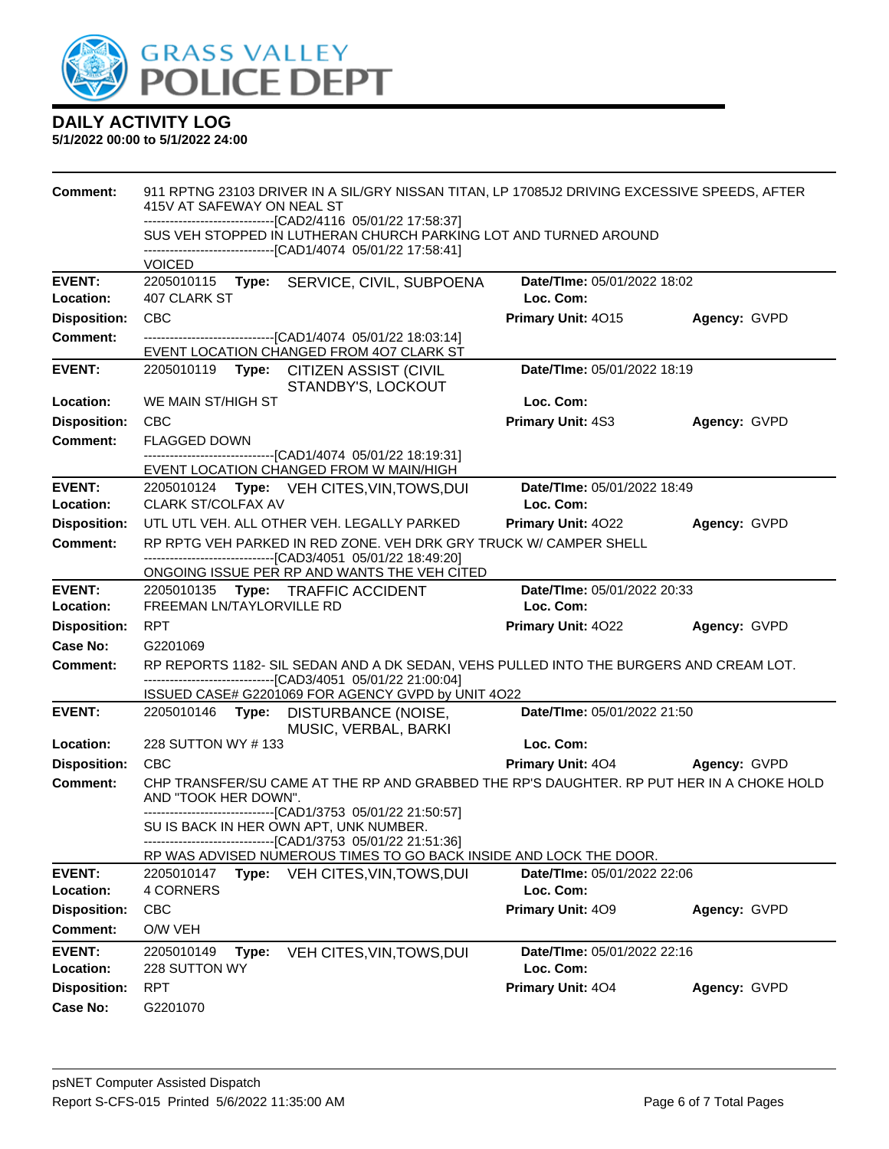

| <b>Comment:</b>                 | 911 RPTNG 23103 DRIVER IN A SIL/GRY NISSAN TITAN, LP 17085J2 DRIVING EXCESSIVE SPEEDS, AFTER<br>415V AT SAFEWAY ON NEAL ST<br>-------------------------------[CAD2/4116 05/01/22 17:58:37] |                                          |              |  |  |  |
|---------------------------------|--------------------------------------------------------------------------------------------------------------------------------------------------------------------------------------------|------------------------------------------|--------------|--|--|--|
|                                 | SUS VEH STOPPED IN LUTHERAN CHURCH PARKING LOT AND TURNED AROUND                                                                                                                           |                                          |              |  |  |  |
|                                 | ------------------------------[CAD1/4074 05/01/22 17:58:41]<br><b>VOICED</b>                                                                                                               |                                          |              |  |  |  |
| <b>EVENT:</b>                   | 2205010115 Type: SERVICE, CIVIL, SUBPOENA                                                                                                                                                  | Date/TIme: 05/01/2022 18:02              |              |  |  |  |
| Location:                       | 407 CLARK ST                                                                                                                                                                               | Loc. Com:                                |              |  |  |  |
| <b>Disposition:</b>             | <b>CBC</b>                                                                                                                                                                                 | Primary Unit: 4015                       | Agency: GVPD |  |  |  |
| Comment:                        | -------------------------------[CAD1/4074 05/01/22 18:03:14]<br>EVENT LOCATION CHANGED FROM 407 CLARK ST                                                                                   |                                          |              |  |  |  |
| <b>EVENT:</b>                   | 2205010119 Type: CITIZEN ASSIST (CIVIL<br>STANDBY'S, LOCKOUT                                                                                                                               | Date/TIme: 05/01/2022 18:19              |              |  |  |  |
| <b>Location:</b>                | WE MAIN ST/HIGH ST                                                                                                                                                                         | Loc. Com:                                |              |  |  |  |
| <b>Disposition:</b>             | <b>CBC</b>                                                                                                                                                                                 | Primary Unit: 4S3                        | Agency: GVPD |  |  |  |
| <b>Comment:</b>                 | <b>FLAGGED DOWN</b>                                                                                                                                                                        |                                          |              |  |  |  |
|                                 | -------------------------------[CAD1/4074 05/01/22 18:19:31]<br>EVENT LOCATION CHANGED FROM W MAIN/HIGH                                                                                    |                                          |              |  |  |  |
| <b>EVENT:</b>                   | 2205010124 Type: VEH CITES, VIN, TOWS, DUI                                                                                                                                                 | Date/TIme: 05/01/2022 18:49              |              |  |  |  |
| Location:                       | <b>CLARK ST/COLFAX AV</b>                                                                                                                                                                  | Loc. Com:                                |              |  |  |  |
| <b>Disposition:</b>             | UTL UTL VEH. ALL OTHER VEH. LEGALLY PARKED                                                                                                                                                 | Primary Unit: 4022                       | Agency: GVPD |  |  |  |
| <b>Comment:</b>                 | RP RPTG VEH PARKED IN RED ZONE. VEH DRK GRY TRUCK W/ CAMPER SHELL                                                                                                                          |                                          |              |  |  |  |
|                                 | ---------------------------------[CAD3/4051 05/01/22 18:49:20]<br>ONGOING ISSUE PER RP AND WANTS THE VEH CITED                                                                             |                                          |              |  |  |  |
| <b>EVENT:</b>                   | Date/TIme: 05/01/2022 20:33<br>2205010135 Type: TRAFFIC ACCIDENT                                                                                                                           |                                          |              |  |  |  |
| Location:                       | <b>FREEMAN LN/TAYLORVILLE RD</b><br>Loc. Com:                                                                                                                                              |                                          |              |  |  |  |
| <b>Disposition:</b>             | <b>RPT</b>                                                                                                                                                                                 | <b>Primary Unit: 4022</b>                | Agency: GVPD |  |  |  |
| Case No:                        | G2201069                                                                                                                                                                                   |                                          |              |  |  |  |
| <b>Comment:</b>                 | RP REPORTS 1182- SIL SEDAN AND A DK SEDAN, VEHS PULLED INTO THE BURGERS AND CREAM LOT.<br>-------------------------------[CAD3/4051 05/01/22 21:00:04]                                     |                                          |              |  |  |  |
| <b>EVENT:</b>                   | ISSUED CASE# G2201069 FOR AGENCY GVPD by UNIT 4O22<br>2205010146 Type: DISTURBANCE (NOISE,                                                                                                 | Date/TIme: 05/01/2022 21:50              |              |  |  |  |
|                                 | MUSIC, VERBAL, BARKI                                                                                                                                                                       |                                          |              |  |  |  |
| Location:                       | 228 SUTTON WY #133                                                                                                                                                                         | Loc. Com:                                |              |  |  |  |
| <b>Disposition:</b><br>Comment: | <b>CBC</b><br>CHP TRANSFER/SU CAME AT THE RP AND GRABBED THE RP'S DAUGHTER. RP PUT HER IN A CHOKE HOLD                                                                                     | <b>Primary Unit: 404</b>                 | Agency: GVPD |  |  |  |
|                                 | AND "TOOK HER DOWN".<br>------------------------------[CAD1/3753 05/01/22 21:50:57]                                                                                                        |                                          |              |  |  |  |
|                                 | SU IS BACK IN HER OWN APT, UNK NUMBER.<br>-------------------------------[CAD1/3753_05/01/22_21:51:36]                                                                                     |                                          |              |  |  |  |
|                                 | RP WAS ADVISED NUMEROUS TIMES TO GO BACK INSIDE AND LOCK THE DOOR.                                                                                                                         |                                          |              |  |  |  |
| <b>EVENT:</b>                   | Type: VEH CITES, VIN, TOWS, DUI<br>2205010147                                                                                                                                              | Date/TIme: 05/01/2022 22:06              |              |  |  |  |
| Location:                       | 4 CORNERS                                                                                                                                                                                  | Loc. Com:                                |              |  |  |  |
| <b>Disposition:</b>             | CBC                                                                                                                                                                                        | Primary Unit: 409                        | Agency: GVPD |  |  |  |
| <b>Comment:</b>                 | O/W VEH                                                                                                                                                                                    |                                          |              |  |  |  |
| <b>EVENT:</b><br>Location:      | 2205010149<br>VEH CITES, VIN, TOWS, DUI<br>Type:<br>228 SUTTON WY                                                                                                                          | Date/TIme: 05/01/2022 22:16<br>Loc. Com: |              |  |  |  |
| <b>Disposition:</b>             | <b>RPT</b>                                                                                                                                                                                 | Primary Unit: 404                        | Agency: GVPD |  |  |  |
| <b>Case No:</b>                 | G2201070                                                                                                                                                                                   |                                          |              |  |  |  |
|                                 |                                                                                                                                                                                            |                                          |              |  |  |  |